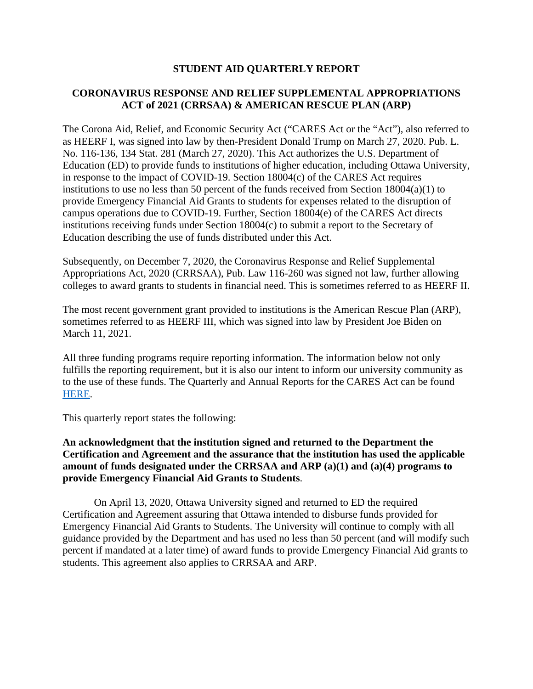# **STUDENT AID QUARTERLY REPORT**

# **CORONAVIRUS RESPONSE AND RELIEF SUPPLEMENTAL APPROPRIATIONS ACT of 2021 (CRRSAA) & AMERICAN RESCUE PLAN (ARP)**

The Corona Aid, Relief, and Economic Security Act ("CARES Act or the "Act"), also referred to as HEERF I, was signed into law by then-President Donald Trump on March 27, 2020. Pub. L. No. 116-136, 134 Stat. 281 (March 27, 2020). This Act authorizes the U.S. Department of Education (ED) to provide funds to institutions of higher education, including Ottawa University, in response to the impact of COVID-19. Section 18004(c) of the CARES Act requires institutions to use no less than 50 percent of the funds received from Section 18004(a)(1) to provide Emergency Financial Aid Grants to students for expenses related to the disruption of campus operations due to COVID-19. Further, Section 18004(e) of the CARES Act directs institutions receiving funds under Section 18004(c) to submit a report to the Secretary of Education describing the use of funds distributed under this Act.

Subsequently, on December 7, 2020, the Coronavirus Response and Relief Supplemental Appropriations Act, 2020 (CRRSAA), Pub. Law 116-260 was signed not law, further allowing colleges to award grants to students in financial need. This is sometimes referred to as HEERF II.

The most recent government grant provided to institutions is the American Rescue Plan (ARP), sometimes referred to as HEERF III, which was signed into law by President Joe Biden on March 11, 2021.

All three funding programs require reporting information. The information below not only fulfills the reporting requirement, but it is also our intent to inform our university community as to the use of these funds. The Quarterly and Annual Reports for the CARES Act can be found [HERE.](https://www.ottawa.edu/coronavirus/recentupdates)

This quarterly report states the following:

### **An acknowledgment that the institution signed and returned to the Department the Certification and Agreement and the assurance that the institution has used the applicable amount of funds designated under the CRRSAA and ARP (a)(1) and (a)(4) programs to provide Emergency Financial Aid Grants to Students**.

On April 13, 2020, Ottawa University signed and returned to ED the required Certification and Agreement assuring that Ottawa intended to disburse funds provided for Emergency Financial Aid Grants to Students. The University will continue to comply with all guidance provided by the Department and has used no less than 50 percent (and will modify such percent if mandated at a later time) of award funds to provide Emergency Financial Aid grants to students. This agreement also applies to CRRSAA and ARP.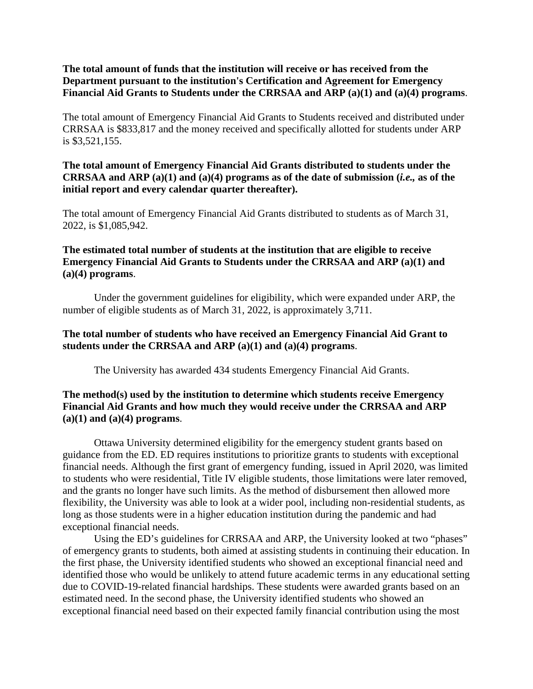### **The total amount of funds that the institution will receive or has received from the Department pursuant to the institution's Certification and Agreement for Emergency Financial Aid Grants to Students under the CRRSAA and ARP (a)(1) and (a)(4) programs**.

The total amount of Emergency Financial Aid Grants to Students received and distributed under CRRSAA is \$833,817 and the money received and specifically allotted for students under ARP is \$3,521,155.

### **The total amount of Emergency Financial Aid Grants distributed to students under the CRRSAA and ARP (a)(1) and (a)(4) programs as of the date of submission (***i.e.,* **as of the initial report and every calendar quarter thereafter).**

The total amount of Emergency Financial Aid Grants distributed to students as of March 31, 2022, is \$1,085,942.

# **The estimated total number of students at the institution that are eligible to receive Emergency Financial Aid Grants to Students under the CRRSAA and ARP (a)(1) and (a)(4) programs**.

Under the government guidelines for eligibility, which were expanded under ARP, the number of eligible students as of March 31, 2022, is approximately 3,711.

# **The total number of students who have received an Emergency Financial Aid Grant to students under the CRRSAA and ARP (a)(1) and (a)(4) programs**.

The University has awarded 434 students Emergency Financial Aid Grants.

# **The method(s) used by the institution to determine which students receive Emergency Financial Aid Grants and how much they would receive under the CRRSAA and ARP (a)(1) and (a)(4) programs**.

Ottawa University determined eligibility for the emergency student grants based on guidance from the ED. ED requires institutions to prioritize grants to students with exceptional financial needs. Although the first grant of emergency funding, issued in April 2020, was limited to students who were residential, Title IV eligible students, those limitations were later removed, and the grants no longer have such limits. As the method of disbursement then allowed more flexibility, the University was able to look at a wider pool, including non-residential students, as long as those students were in a higher education institution during the pandemic and had exceptional financial needs.

Using the ED's guidelines for CRRSAA and ARP, the University looked at two "phases" of emergency grants to students, both aimed at assisting students in continuing their education. In the first phase, the University identified students who showed an exceptional financial need and identified those who would be unlikely to attend future academic terms in any educational setting due to COVID-19-related financial hardships. These students were awarded grants based on an estimated need. In the second phase, the University identified students who showed an exceptional financial need based on their expected family financial contribution using the most